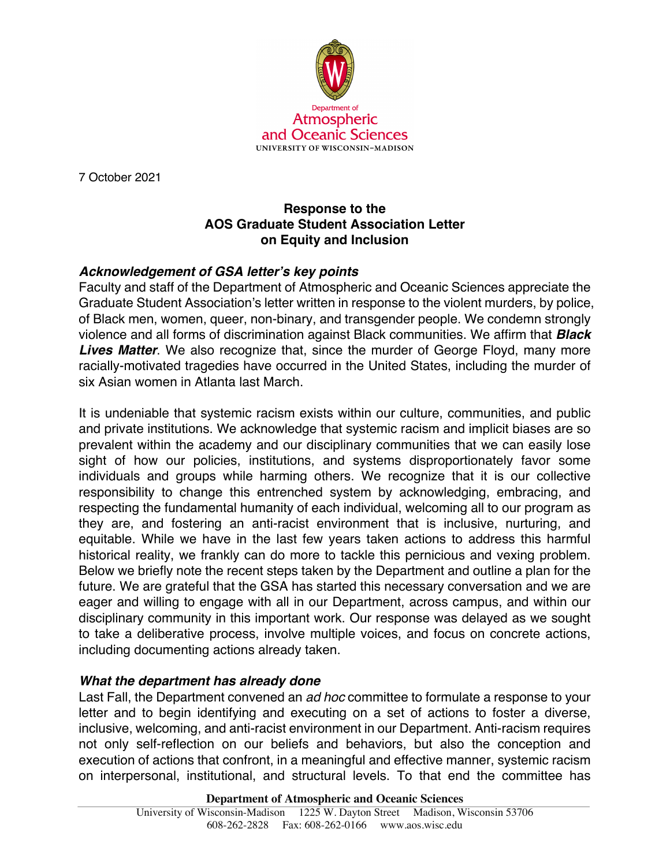

7 October 2021

## **Response to the AOS Graduate Student Association Letter on Equity and Inclusion**

## *Acknowledgement of GSA letter's key points*

Faculty and staff of the Department of Atmospheric and Oceanic Sciences appreciate the Graduate Student Association's letter written in response to the violent murders, by police, of Black men, women, queer, non-binary, and transgender people. We condemn strongly violence and all forms of discrimination against Black communities. We affirm that *Black*  **Lives Matter**. We also recognize that, since the murder of George Floyd, many more racially-motivated tragedies have occurred in the United States, including the murder of six Asian women in Atlanta last March.

It is undeniable that systemic racism exists within our culture, communities, and public and private institutions. We acknowledge that systemic racism and implicit biases are so prevalent within the academy and our disciplinary communities that we can easily lose sight of how our policies, institutions, and systems disproportionately favor some individuals and groups while harming others. We recognize that it is our collective responsibility to change this entrenched system by acknowledging, embracing, and respecting the fundamental humanity of each individual, welcoming all to our program as they are, and fostering an anti-racist environment that is inclusive, nurturing, and equitable. While we have in the last few years taken actions to address this harmful historical reality, we frankly can do more to tackle this pernicious and vexing problem. Below we briefly note the recent steps taken by the Department and outline a plan for the future. We are grateful that the GSA has started this necessary conversation and we are eager and willing to engage with all in our Department, across campus, and within our disciplinary community in this important work. Our response was delayed as we sought to take a deliberative process, involve multiple voices, and focus on concrete actions, including documenting actions already taken.

## *What the department has already done*

Last Fall, the Department convened an *ad hoc* committee to formulate a response to your letter and to begin identifying and executing on a set of actions to foster a diverse, inclusive, welcoming, and anti-racist environment in our Department. Anti-racism requires not only self-reflection on our beliefs and behaviors, but also the conception and execution of actions that confront, in a meaningful and effective manner, systemic racism on interpersonal, institutional, and structural levels. To that end the committee has

**Department of Atmospheric and Oceanic Sciences**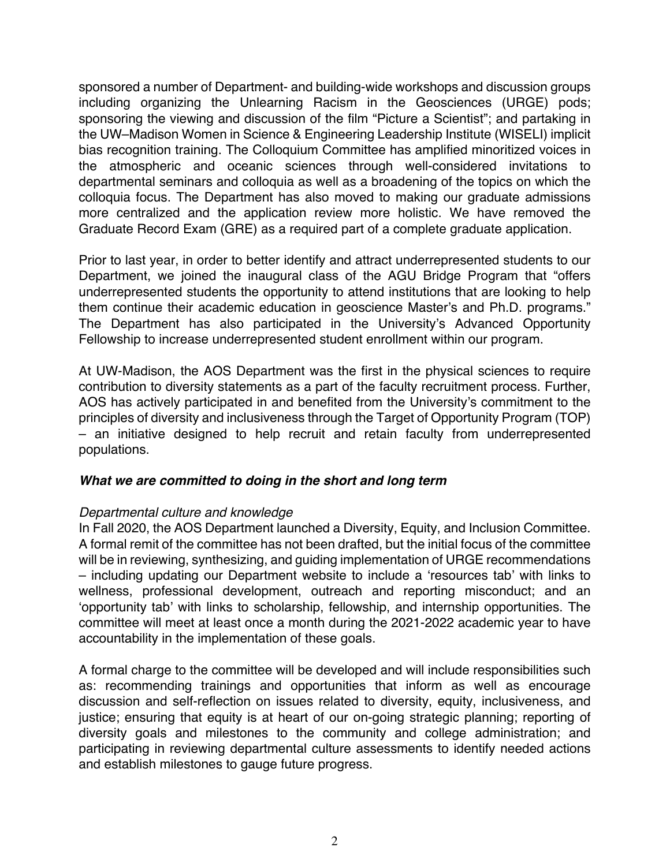sponsored a number of Department- and building-wide workshops and discussion groups including organizing the Unlearning Racism in the Geosciences (URGE) pods; sponsoring the viewing and discussion of the film "Picture a Scientist"; and partaking in the UW–Madison Women in Science & Engineering Leadership Institute (WISELI) implicit bias recognition training. The Colloquium Committee has amplified minoritized voices in the atmospheric and oceanic sciences through well-considered invitations to departmental seminars and colloquia as well as a broadening of the topics on which the colloquia focus. The Department has also moved to making our graduate admissions more centralized and the application review more holistic. We have removed the Graduate Record Exam (GRE) as a required part of a complete graduate application.

Prior to last year, in order to better identify and attract underrepresented students to our Department, we joined the inaugural class of the AGU Bridge Program that "offers underrepresented students the opportunity to attend institutions that are looking to help them continue their academic education in geoscience Master's and Ph.D. programs." The Department has also participated in the University's Advanced Opportunity Fellowship to increase underrepresented student enrollment within our program.

At UW-Madison, the AOS Department was the first in the physical sciences to require contribution to diversity statements as a part of the faculty recruitment process. Further, AOS has actively participated in and benefited from the University's commitment to the principles of diversity and inclusiveness through the Target of Opportunity Program (TOP) – an initiative designed to help recruit and retain faculty from underrepresented populations.

### *What we are committed to doing in the short and long term*

### *Departmental culture and knowledge*

In Fall 2020, the AOS Department launched a Diversity, Equity, and Inclusion Committee. A formal remit of the committee has not been drafted, but the initial focus of the committee will be in reviewing, synthesizing, and guiding implementation of URGE recommendations – including updating our Department website to include a 'resources tab' with links to wellness, professional development, outreach and reporting misconduct; and an 'opportunity tab' with links to scholarship, fellowship, and internship opportunities. The committee will meet at least once a month during the 2021-2022 academic year to have accountability in the implementation of these goals.

A formal charge to the committee will be developed and will include responsibilities such as: recommending trainings and opportunities that inform as well as encourage discussion and self-reflection on issues related to diversity, equity, inclusiveness, and justice; ensuring that equity is at heart of our on-going strategic planning; reporting of diversity goals and milestones to the community and college administration; and participating in reviewing departmental culture assessments to identify needed actions and establish milestones to gauge future progress.